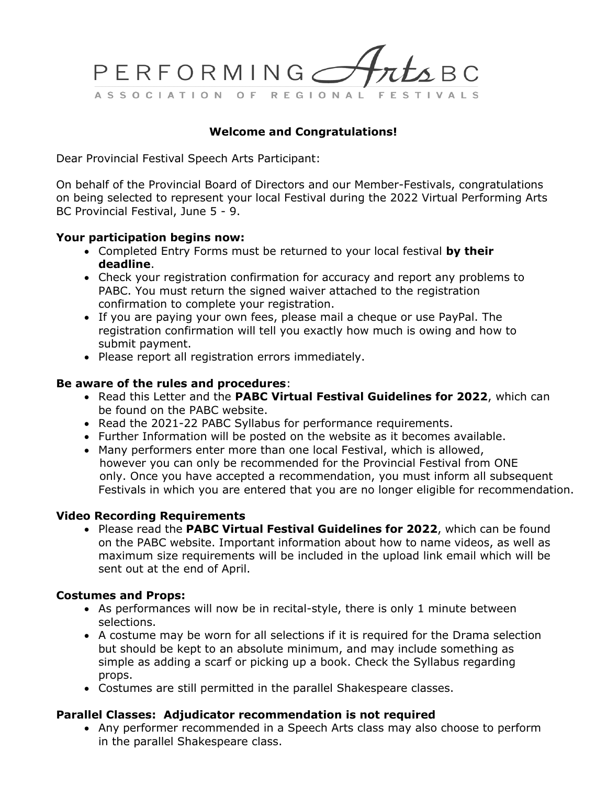

### **Welcome and Congratulations!**

Dear Provincial Festival Speech Arts Participant:

On behalf of the Provincial Board of Directors and our Member-Festivals, congratulations on being selected to represent your local Festival during the 2022 Virtual Performing Arts BC Provincial Festival, June 5 - 9.

### **Your participation begins now:**

- Completed Entry Forms must be returned to your local festival **by their deadline**.
- Check your registration confirmation for accuracy and report any problems to PABC. You must return the signed waiver attached to the registration confirmation to complete your registration.
- If you are paying your own fees, please mail a cheque or use PayPal. The registration confirmation will tell you exactly how much is owing and how to submit payment.
- Please report all registration errors immediately.

### **Be aware of the rules and procedures**:

- Read this Letter and the **PABC Virtual Festival Guidelines for 2022**, which can be found on the PABC website.
- Read the 2021-22 PABC Syllabus for performance requirements.
- Further Information will be posted on the website as it becomes available.
- Many performers enter more than one local Festival, which is allowed, however you can only be recommended for the Provincial Festival from ONE only. Once you have accepted a recommendation, you must inform all subsequent Festivals in which you are entered that you are no longer eligible for recommendation.

### **Video Recording Requirements**

• Please read the **PABC Virtual Festival Guidelines for 2022**, which can be found on the PABC website. Important information about how to name videos, as well as maximum size requirements will be included in the upload link email which will be sent out at the end of April.

### **Costumes and Props:**

- As performances will now be in recital-style, there is only 1 minute between selections.
- A costume may be worn for all selections if it is required for the Drama selection but should be kept to an absolute minimum, and may include something as simple as adding a scarf or picking up a book. Check the Syllabus regarding props.
- Costumes are still permitted in the parallel Shakespeare classes.

### **Parallel Classes: Adjudicator recommendation is not required**

• Any performer recommended in a Speech Arts class may also choose to perform in the parallel Shakespeare class.